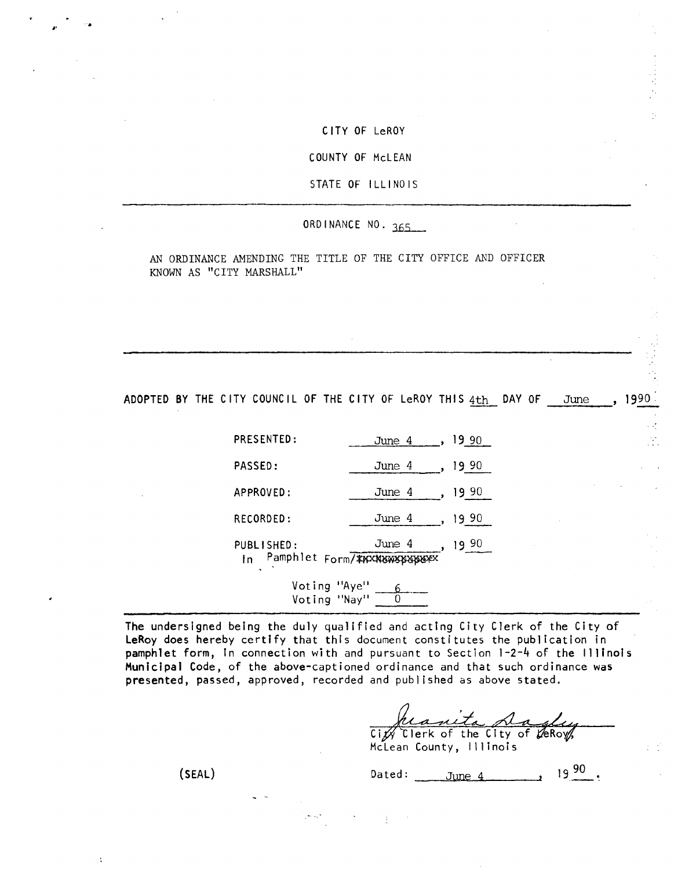#### CITY OF LeROY

## COUNTY OF McLEAN

## STATE OF ILLINOIS

# ORDINANCE NO. 365

AN ORDINANCE AMENDING THE TITLE OF THE CITY OFFICE AND OFFICER KNOWN AS "CITY MARSHALL"

ADOPTED BY THE CITY COUNCIL OF THE CITY OF LeROY THIS 4th DAY OF June, 1990.

| PRESENTED:        | June 4                                      | 19.90 |  |  | ٠.٠<br>$\sim$ $\sim$ |
|-------------------|---------------------------------------------|-------|--|--|----------------------|
| PASSED:           | June 4                                      | 19 90 |  |  |                      |
| APPROVED:         | June 4                                      | 19 90 |  |  |                      |
| RECORDED:         | June 4                                      | 19 90 |  |  |                      |
| PUBLISHED:<br>In. | June 4<br>Pamphlet Form/ ****************** | 90 و١ |  |  |                      |
| Voting "Aye"      |                                             |       |  |  |                      |

Voting "Nay"  $\begin{array}{|c|} \hline 0 \end{array}$ 

The undersigned being the duly qualified and acting City Clerk of the City of LeRoy does hereby certify that this document constitutes the publication in pamphlet form, in connection with and pursuant to Section 1-2-4 of the Illinois Municipal Code, of the above-captioned ordinance and that such ordinance was presented, passed, approved, recorded and published as above stated.

heanita dayly

McLean County, Illinois

(SEAL)  $\frac{5 \text{ m/s}}{2 \text{ m/s}}$  ated:  $\frac{5 \text{ m/s}}{2 \text{ m/s}}$  19.90.

 $\ddot{\phantom{a}}$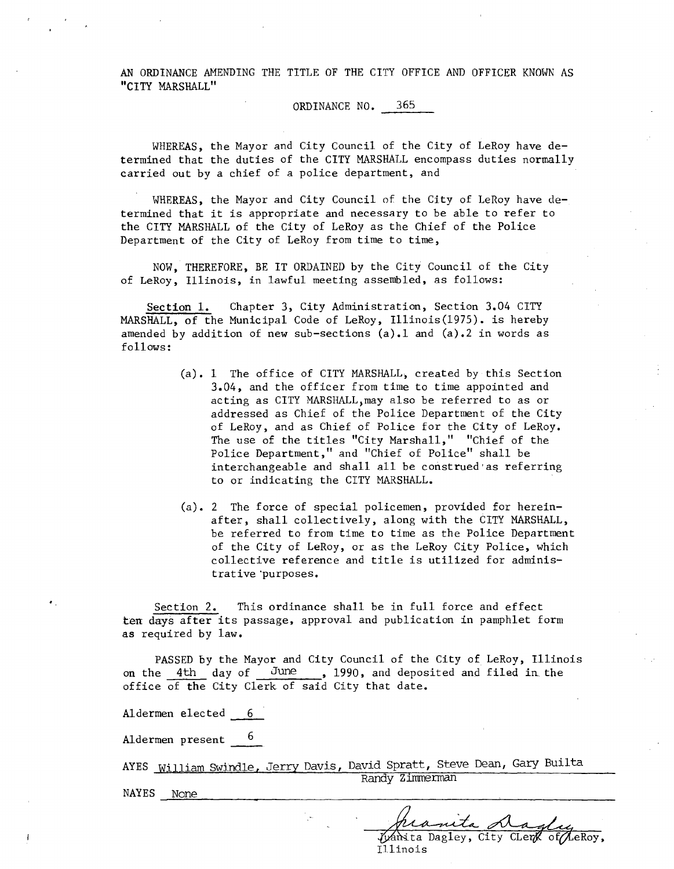AN ORDINANCE AMENDING THE TITLE OF THE CITY OFFICE AND OFFICER KNOWN AS "CITY MARSHALL"

ORDINANCE NO. 365

WHEREAS, the Mayor and City Council of the City of LeRoy have determined that the duties of the CITY MARSHALL encompass duties normally carried out by a chief of a police department, and

WHEREAS, the Mayor and City Council of the City of LeRoy have determined that it is appropriate and necessary to be able to refer to the CITY MARSHALL of the City of LeRoy as the Chief of the Police Department of the City of LeRoy from time to time,

NOW, THEREFORE, BE IT ORDAINED by the City Council of the City of LeRoy, Illinois, in lawful meeting assembled, as follows:

Section 1. Chapter 3, City Administration, Section 3.04 CITY MARSHALL, of the Municipal Code of LeRoy, Illinois(1975). is hereby amended by addition of new sub-sections  $(a) \cdot 1$  and  $(a) \cdot 2$  in words as follows:

- (a). 1 The office of CITY MARSHALL, created by this Section 3.04, and the officer from time to time appointed and acting as CITY MARSHALL may also be referred to as or addressed as Chief of the Police Department of the City of LeRoy, and as Chief of Police for the City of LeRoy. The use of the titles "City Marshall," "Chief of the Police Department," and "Chief of Police" shall be interchangeable and shall all be construed as referring to or indicating the CITY MARSHALL.
- (a). 2 The force of special policemen, provided for hereinafter, shall collectively, along with the CITY MARSHALL, be referred to from time to time as the Police Department of the City of LeRoy, or as the LeRoy City Police, which collective reference and title is utilized for administrative'purposes.

Section 2. This ordinance shall be in full force and effect ten days after its passage, approval and publication in pamphlet form as required by law.

PASSED by the Mayor and City Council of the City of LeRoy, Illinois on the 4th day of June, 1990, and deposited and filed in the office of the City Clerk of said City that date.

Aldermen elected 6

Aldermen present 6

AYES William Swindle, Jerry Davis, David Spratt, Steve Dean, Gary Builta Randy Zimmerman

NAYES None

mta A Wanita Dagley, City CLerk of LeRoy.

Illinois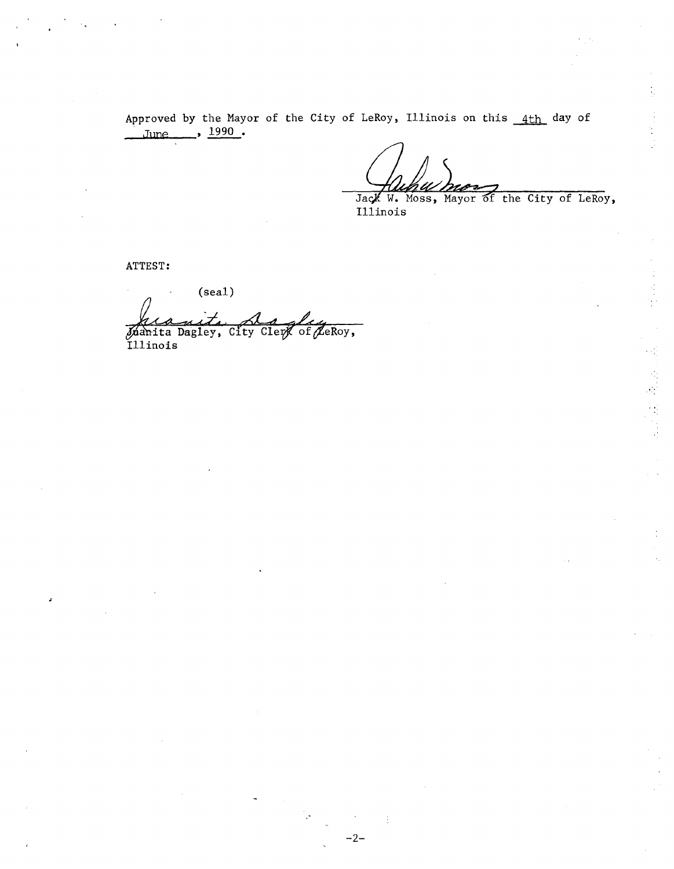Approved by the Mayor of the City of LeRoy, Illinois on this 4th day of June 1990.

 $-2-$ 

Jack W. Moss, Mayor of the City of LeRoy, Illinois

在屋顶上

ATTEST:

 $(sea1)$ Manita Dagley, City Clerk of LeRoy,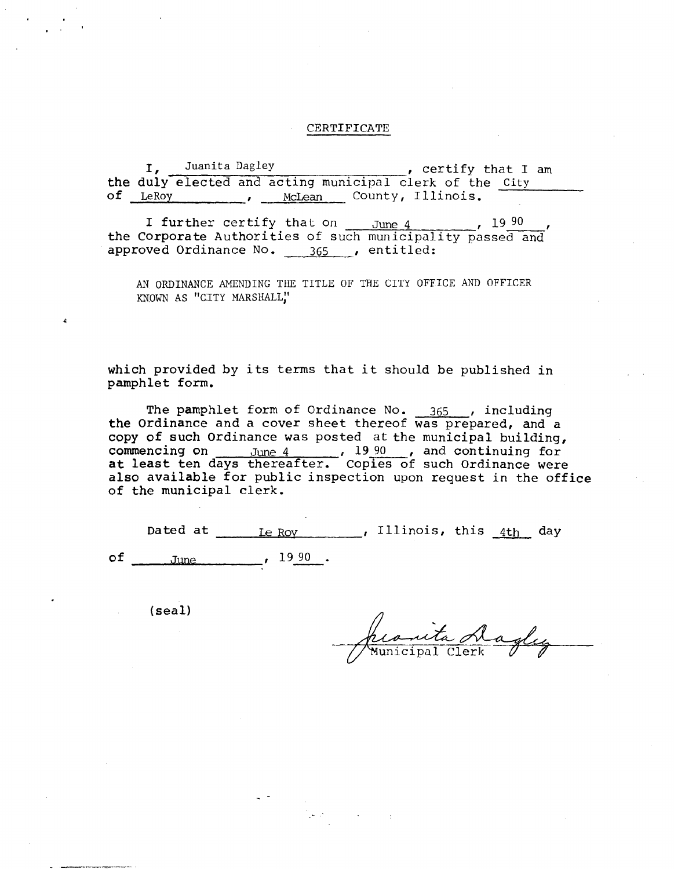### CERTIFICATE

I, Juanita Dagley , certify that I am the duly elected and acting municipal clerk of the City of LeRoy , McLean County, Illinois.

I further certify that on  $_{\text{June 4}}$ , 19 90 the Corporate Authorities of such municipality passed and approved Ordinance No. 365 , entitled:

AN ORDINANCE AMENDING THE TITLE OF THE CITY OFFICE AND OFFICER KNOWN AS "CITY MARSHALL"

which provided by its terms that it should be published in pamphlet form.

The pamphlet form of Ordinance No. 365 , including the Ordinance and a cover sheet thereof was prepared, and a copy of such Ordinance was posted at the municipal building, commencing on  $\frac{June}{2}$ ,  $\frac{1990}{2}$ , and continuing for at least ten days thereafter. Copies of such Ordinance were also available for public inspection upon request in the office of the municipal clerk.

|  | Dated at <u>Le Roy</u> , Illinois, this 4th day   |  |  |  |
|--|---------------------------------------------------|--|--|--|
|  | of $_{\text{June}}$ , $_{\text{June}}$ , $1990$ . |  |  |  |

(seal)

promita daglez